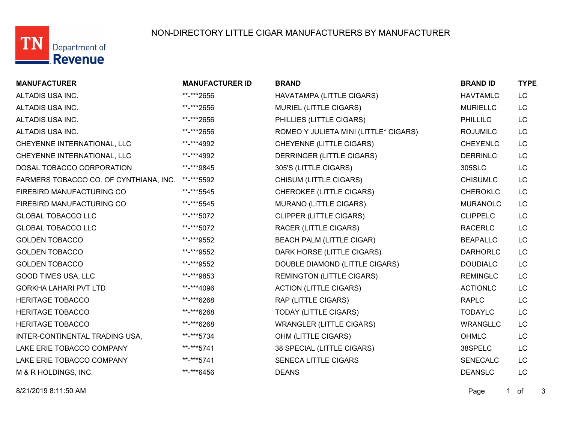

## NON-DIRECTORY LITTLE CIGAR MANUFACTURERS BY MANUFACTURER

| <b>MANUFACTURER</b>                    | <b>MANUFACTURER ID</b> | <b>BRAND</b>                          | <b>BRAND ID</b> | <b>TYPE</b> |
|----------------------------------------|------------------------|---------------------------------------|-----------------|-------------|
| ALTADIS USA INC.                       | **-***2656             | HAVATAMPA (LITTLE CIGARS)             | <b>HAVTAMLC</b> | <b>LC</b>   |
| ALTADIS USA INC.                       | **-***2656             | MURIEL (LITTLE CIGARS)                | <b>MURIELLC</b> | LC          |
| ALTADIS USA INC.                       | **-***2656             | PHILLIES (LITTLE CIGARS)              | <b>PHILLILC</b> | <b>LC</b>   |
| ALTADIS USA INC.                       | **-***2656             | ROMEO Y JULIETA MINI (LITTLE* CIGARS) | <b>ROJUMILC</b> | LC          |
| CHEYENNE INTERNATIONAL, LLC            | **-***4992             | CHEYENNE (LITTLE CIGARS)              | <b>CHEYENLC</b> | LC          |
| CHEYENNE INTERNATIONAL, LLC            | **-***4992             | DERRINGER (LITTLE CIGARS)             | <b>DERRINLC</b> | LC          |
| DOSAL TOBACCO CORPORATION              | **-***9845             | 305'S (LITTLE CIGARS)                 | 305SLC          | LC          |
| FARMERS TOBACCO CO. OF CYNTHIANA, INC. | **-***5592             | CHISUM (LITTLE CIGARS)                | <b>CHISUMLC</b> | LC          |
| FIREBIRD MANUFACTURING CO              | **-***5545             | <b>CHEROKEE (LITTLE CIGARS)</b>       | <b>CHEROKLC</b> | LC          |
| FIREBIRD MANUFACTURING CO              | **-***5545             | <b>MURANO (LITTLE CIGARS)</b>         | <b>MURANOLC</b> | LC          |
| <b>GLOBAL TOBACCO LLC</b>              | **-***5072             | <b>CLIPPER (LITTLE CIGARS)</b>        | <b>CLIPPELC</b> | LC          |
| <b>GLOBAL TOBACCO LLC</b>              | **-***5072             | <b>RACER (LITTLE CIGARS)</b>          | <b>RACERLC</b>  | LC          |
| <b>GOLDEN TOBACCO</b>                  | **-***9552             | <b>BEACH PALM (LITTLE CIGAR)</b>      | <b>BEAPALLC</b> | LC          |
| <b>GOLDEN TOBACCO</b>                  | **-***9552             | DARK HORSE (LITTLE CIGARS)            | <b>DARHORLC</b> | LC          |
| <b>GOLDEN TOBACCO</b>                  | **-***9552             | DOUBLE DIAMOND (LITTLE CIGARS)        | <b>DOUDIALC</b> | LC          |
| <b>GOOD TIMES USA, LLC</b>             | **-***9853             | <b>REMINGTON (LITTLE CIGARS)</b>      | <b>REMINGLC</b> | LC          |
| <b>GORKHA LAHARI PVT LTD</b>           | **-***4096             | <b>ACTION (LITTLE CIGARS)</b>         | <b>ACTIONLC</b> | LC          |
| <b>HERITAGE TOBACCO</b>                | **-***6268             | RAP (LITTLE CIGARS)                   | <b>RAPLC</b>    | LC          |
| <b>HERITAGE TOBACCO</b>                | **-***6268             | <b>TODAY (LITTLE CIGARS)</b>          | <b>TODAYLC</b>  | LC          |
| <b>HERITAGE TOBACCO</b>                | **-***6268             | <b>WRANGLER (LITTLE CIGARS)</b>       | <b>WRANGLLC</b> | LC          |
| INTER-CONTINENTAL TRADING USA,         | **-***5734             | OHM (LITTLE CIGARS)                   | <b>OHMLC</b>    | <b>LC</b>   |
| LAKE ERIE TOBACCO COMPANY              | **-***5741             | 38 SPECIAL (LITTLE CIGARS)            | 38SPELC         | LC          |
| LAKE ERIE TOBACCO COMPANY              | **-***5741             | <b>SENECA LITTLE CIGARS</b>           | <b>SENECALC</b> | <b>LC</b>   |
| M & R HOLDINGS, INC.                   | **-***6456             | <b>DEANS</b>                          | <b>DEANSLC</b>  | LC          |
|                                        |                        |                                       |                 |             |

8/21/2019 8:11:50 AM Page 1 of 3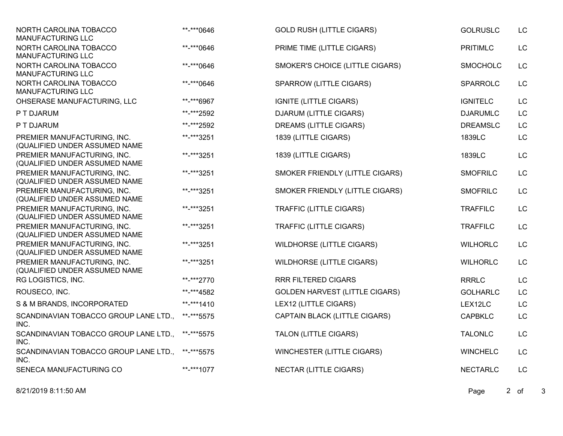| NORTH CAROLINA TOBACCO<br><b>MANUFACTURING LLC</b>           | **-***0646 | <b>GOLD RUSH (LITTLE CIGARS)</b>      | <b>GOLRUSLC</b> | <b>LC</b> |
|--------------------------------------------------------------|------------|---------------------------------------|-----------------|-----------|
| NORTH CAROLINA TOBACCO<br>MANUFACTURING LLC                  | **-***0646 | PRIME TIME (LITTLE CIGARS)            | <b>PRITIMLC</b> | LC        |
| NORTH CAROLINA TOBACCO<br><b>MANUFACTURING LLC</b>           | **-***0646 | SMOKER'S CHOICE (LITTLE CIGARS)       | <b>SMOCHOLC</b> | LC        |
| NORTH CAROLINA TOBACCO<br><b>MANUFACTURING LLC</b>           | **-***0646 | SPARROW (LITTLE CIGARS)               | SPARROLC        | LC        |
| OHSERASE MANUFACTURING, LLC                                  | **-***6967 | <b>IGNITE (LITTLE CIGARS)</b>         | <b>IGNITELC</b> | LC        |
| P T DJARUM                                                   | **-***2592 | <b>DJARUM (LITTLE CIGARS)</b>         | <b>DJARUMLC</b> | LC        |
| P T DJARUM                                                   | **-***2592 | DREAMS (LITTLE CIGARS)                | <b>DREAMSLC</b> | LC        |
| PREMIER MANUFACTURING, INC.<br>(QUALIFIED UNDER ASSUMED NAME | **-***3251 | 1839 (LITTLE CIGARS)                  | 1839LC          | LC        |
| PREMIER MANUFACTURING, INC.<br>(QUALIFIED UNDER ASSUMED NAME | **-***3251 | 1839 (LITTLE CIGARS)                  | 1839LC          | LC        |
| PREMIER MANUFACTURING, INC.<br>(QUALIFIED UNDER ASSUMED NAME | **-***3251 | SMOKER FRIENDLY (LITTLE CIGARS)       | <b>SMOFRILC</b> | LC        |
| PREMIER MANUFACTURING, INC.<br>(QUALIFIED UNDER ASSUMED NAME | **-***3251 | SMOKER FRIENDLY (LITTLE CIGARS)       | <b>SMOFRILC</b> | LC        |
| PREMIER MANUFACTURING, INC.<br>(QUALIFIED UNDER ASSUMED NAME | **-***3251 | TRAFFIC (LITTLE CIGARS)               | <b>TRAFFILC</b> | LC        |
| PREMIER MANUFACTURING, INC.<br>(QUALIFIED UNDER ASSUMED NAME | **-***3251 | <b>TRAFFIC (LITTLE CIGARS)</b>        | <b>TRAFFILC</b> | LC        |
| PREMIER MANUFACTURING, INC.<br>(QUALIFIED UNDER ASSUMED NAME | **-***3251 | <b>WILDHORSE (LITTLE CIGARS)</b>      | <b>WILHORLC</b> | LC        |
| PREMIER MANUFACTURING, INC.<br>(QUALIFIED UNDER ASSUMED NAME | **-***3251 | <b>WILDHORSE (LITTLE CIGARS)</b>      | <b>WILHORLC</b> | LC        |
| RG LOGISTICS, INC.                                           | **-***2770 | <b>RRR FILTERED CIGARS</b>            | <b>RRRLC</b>    | LC        |
| ROUSECO, INC.                                                | **-***4582 | <b>GOLDEN HARVEST (LITTLE CIGARS)</b> | <b>GOLHARLC</b> | LC        |
| S & M BRANDS, INCORPORATED                                   | **-***1410 | LEX12 (LITTLE CIGARS)                 | LEX12LC         | <b>LC</b> |
| SCANDINAVIAN TOBACCO GROUP LANE LTD.,<br>INC.                | **-***5575 | CAPTAIN BLACK (LITTLE CIGARS)         | <b>CAPBKLC</b>  | LC        |
| SCANDINAVIAN TOBACCO GROUP LANE LTD.,<br>INC.                | **-***5575 | TALON (LITTLE CIGARS)                 | <b>TALONLC</b>  | LC        |
| SCANDINAVIAN TOBACCO GROUP LANE LTD.,<br>INC.                | **-***5575 | WINCHESTER (LITTLE CIGARS)            | <b>WINCHELC</b> | LC        |
| SENECA MANUFACTURING CO                                      | **-***1077 | <b>NECTAR (LITTLE CIGARS)</b>         | <b>NECTARLC</b> | LC        |

8/21/2019 8:11:50 AM Page 2 of 3